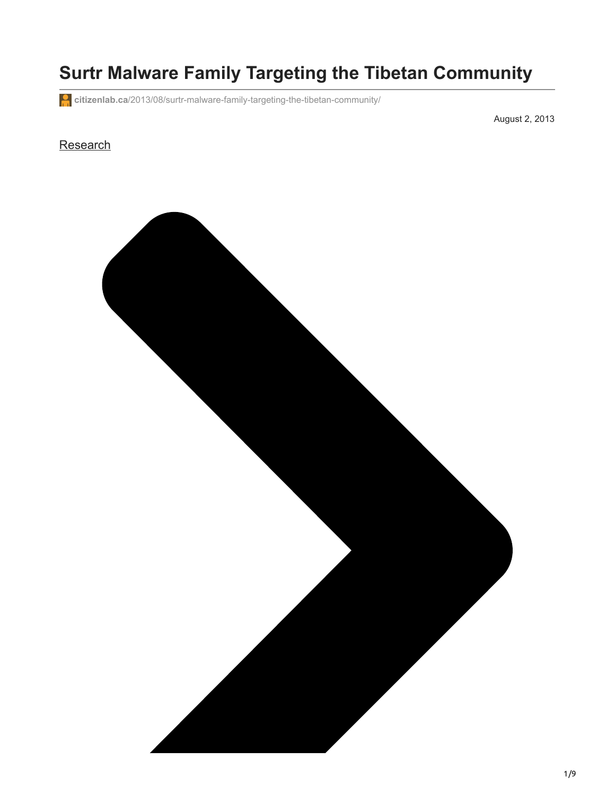# **Surtr Malware Family Targeting the Tibetan Community**

**citizenlab.ca**[/2013/08/surtr-malware-family-targeting-the-tibetan-community/](https://citizenlab.ca/2013/08/surtr-malware-family-targeting-the-tibetan-community/)

August 2, 2013

#### **[Research](https://citizenlab.ca/category/research/)**

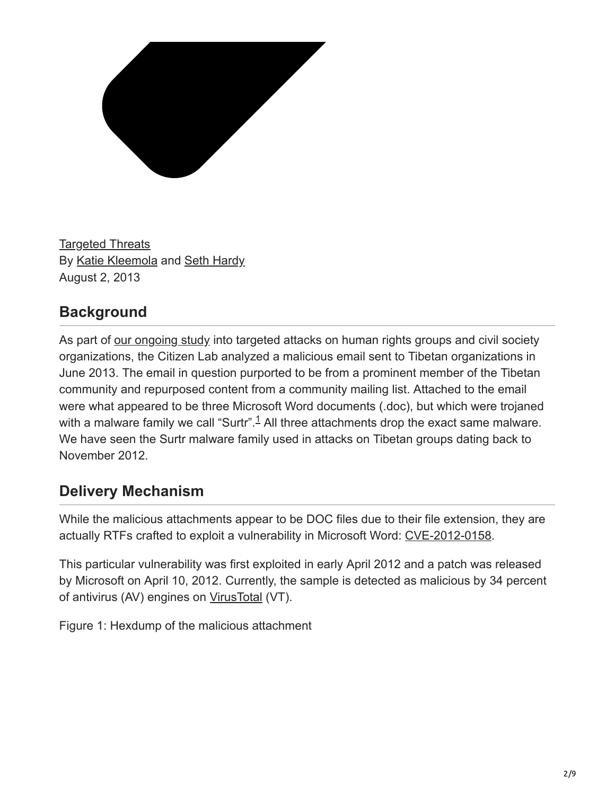

[Targeted Threats](https://citizenlab.ca/category/research/targeted-threats/) By [Katie Kleemola](https://citizenlab.ca/author/kkleemola/) and [Seth Hardy](https://citizenlab.ca/author/sethhardy/) August 2, 2013

### **Background**

As part of [our ongoing study](https://citizenlab.ca/hrpublic-call/) into targeted attacks on human rights groups and civil society organizations, the Citizen Lab analyzed a malicious email sent to Tibetan organizations in June 2013. The email in question purported to be from a prominent member of the Tibetan community and repurposed content from a community mailing list. Attached to the email were what appeared to be three Microsoft Word documents (.doc), but which were trojaned with a malware family we call "Surtr".<sup>1</sup> All three attachments drop the exact same malware. We have seen the Surtr malware family used in attacks on Tibetan groups dating back to November 2012.

### **Delivery Mechanism**

While the malicious attachments appear to be DOC files due to their file extension, they are actually RTFs crafted to exploit a vulnerability in Microsoft Word: [CVE-2012-0158.](http://www.cve.mitre.org/cgi-bin/cvename.cgi?name=CVE-2012-0158)

This particular vulnerability was first exploited in early April 2012 and a patch was released by Microsoft on April 10, 2012. Currently, the sample is detected as malicious by 34 percent of antivirus (AV) engines on [VirusTotal](https://www.virustotal.com/en/file/240cc911820690373851423dece631049c969c1b59f99b9e888f2e890e345825/analysis/) (VT).

Figure 1: Hexdump of the malicious attachment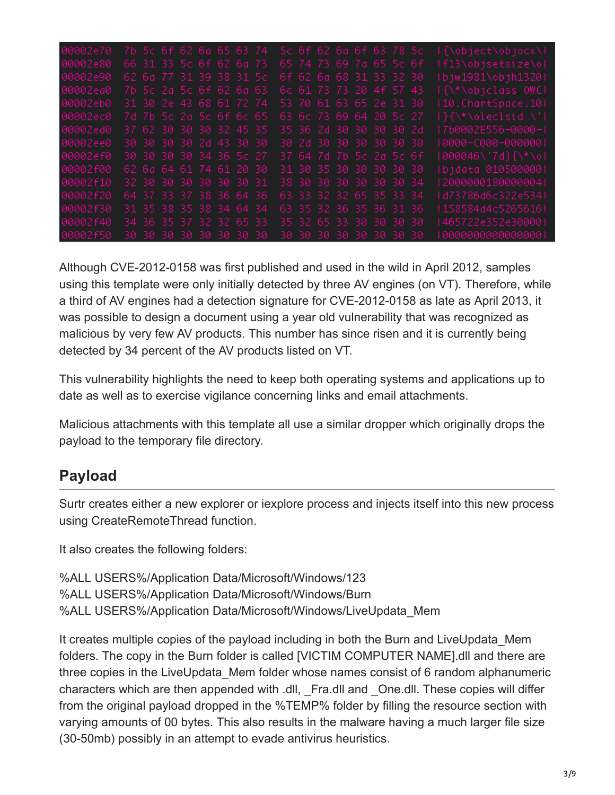| 00002e70 |  | 7b 5c 6f 62 6a 65 63 74 |  |  |  |  | 5c 6f 62 6a 6f 63 78 5c |  | l{\object\objocx\l   |
|----------|--|-------------------------|--|--|--|--|-------------------------|--|----------------------|
| 00002e80 |  | 66 31 33 5c 6f 62 6a 73 |  |  |  |  | 65 74 73 69 7a 65 5c 6f |  | If13\objsetsize\ol   |
| 00002e90 |  | 62 6a 77 31 39 38 31 5c |  |  |  |  | 6f 62 6a 68 31 33 32 30 |  | Ibjw1981\objh1320I   |
| 00002ea0 |  | 7b 5c 2a 5c 6f 62 6a 63 |  |  |  |  | 6c 61 73 73 20 4f 57 43 |  | If\*\objclass OWCI   |
| 00002eb0 |  | 31 30 2e 43 68 61 72 74 |  |  |  |  | 53 70 61 63 65 2e 31 30 |  | 110. ChartSpace. 101 |
| 00002ec0 |  | 7d 7b 5c 2a 5c 6f 6c 65 |  |  |  |  | 63 6c 73 69 64 20 5c 27 |  | I}{\*\oleclsid \'I   |
| 00002ed0 |  | 37 62 30 30 30 32 45 35 |  |  |  |  | 35 36 2d 30 30 30 30 2d |  | 17b0002E556-0000-1   |
| 00002ee0 |  | 30 30 30 30 2d 43 30 30 |  |  |  |  | 30 2d 30 30 30 30 30 30 |  | 0000-0000-000000     |
| 00002ef0 |  | 30 30 30 30 34 36 5c 27 |  |  |  |  | 37 64 7d 7b 5c 2a 5c 6f |  | 1000046\'7d}{\*\ol   |
| 00002f00 |  | 62 6a 64 61 74 61 20 30 |  |  |  |  | 31 30 35 30 30 30 30 30 |  | lbjdata 0105000001   |
| 00002f10 |  | 32 30 30 30 30 30 30 31 |  |  |  |  | 38 30 30 30 30 30 30 34 |  | 2000000180000004     |
| 00002f20 |  | 64 37 33 37 38 36 64 36 |  |  |  |  | 63 33 32 32 65 35 33 34 |  | ld73786d6c322e5341   |
| 00002f30 |  | 31 35 38 35 38 34 64 34 |  |  |  |  | 63 35 32 36 35 36 31 36 |  | l 158584d4c5265616 l |
| 00002f40 |  | 34 36 35 37 32 32 65 33 |  |  |  |  | 35 32 65 33 30 30 30 30 |  | I465722e352e300001   |
| 00002f50 |  | 30 30 30 30 30 30 30 30 |  |  |  |  | 30 30 30 30 30 30 30 30 |  | 0000000000000000     |

Although CVE-2012-0158 was first published and used in the wild in April 2012, samples using this template were only initially detected by three AV engines (on VT). Therefore, while a third of AV engines had a detection signature for CVE-2012-0158 as late as April 2013, it was possible to design a document using a year old vulnerability that was recognized as malicious by very few AV products. This number has since risen and it is currently being detected by 34 percent of the AV products listed on VT.

This vulnerability highlights the need to keep both operating systems and applications up to date as well as to exercise vigilance concerning links and email attachments.

Malicious attachments with this template all use a similar dropper which originally drops the payload to the temporary file directory.

### **Payload**

Surtr creates either a new explorer or iexplore process and injects itself into this new process using CreateRemoteThread function.

It also creates the following folders:

%ALL USERS%/Application Data/Microsoft/Windows/123 %ALL USERS%/Application Data/Microsoft/Windows/Burn %ALL USERS%/Application Data/Microsoft/Windows/LiveUpdata\_Mem

It creates multiple copies of the payload including in both the Burn and LiveUpdata Mem folders. The copy in the Burn folder is called [VICTIM COMPUTER NAME].dll and there are three copies in the LiveUpdata\_Mem folder whose names consist of 6 random alphanumeric characters which are then appended with .dll, \_Fra.dll and \_One.dll. These copies will differ from the original payload dropped in the %TEMP% folder by filling the resource section with varying amounts of 00 bytes. This also results in the malware having a much larger file size (30-50mb) possibly in an attempt to evade antivirus heuristics.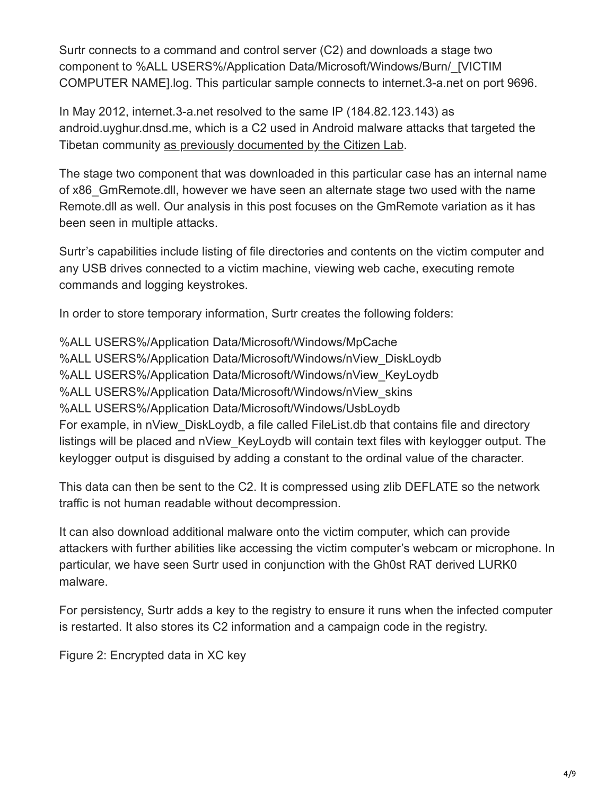Surtr connects to a command and control server (C2) and downloads a stage two component to %ALL USERS%/Application Data/Microsoft/Windows/Burn/\_[VICTIM COMPUTER NAME].log. This particular sample connects to internet.3-a.net on port 9696.

In May 2012, internet.3-a.net resolved to the same IP (184.82.123.143) as android.uyghur.dnsd.me, which is a C2 used in Android malware attacks that targeted the Tibetan community [as previously documented by the Citizen Lab](https://citizenlab.ca/2013/04/permission-to-spy-an-analysis-of-android-malware-targeting-tibetans/).

The stage two component that was downloaded in this particular case has an internal name of x86\_GmRemote.dll, however we have seen an alternate stage two used with the name Remote.dll as well. Our analysis in this post focuses on the GmRemote variation as it has been seen in multiple attacks.

Surtr's capabilities include listing of file directories and contents on the victim computer and any USB drives connected to a victim machine, viewing web cache, executing remote commands and logging keystrokes.

In order to store temporary information, Surtr creates the following folders:

%ALL USERS%/Application Data/Microsoft/Windows/MpCache %ALL USERS%/Application Data/Microsoft/Windows/nView\_DiskLoydb %ALL USERS%/Application Data/Microsoft/Windows/nView\_KeyLoydb %ALL USERS%/Application Data/Microsoft/Windows/nView\_skins %ALL USERS%/Application Data/Microsoft/Windows/UsbLoydb For example, in nView\_DiskLoydb, a file called FileList.db that contains file and directory listings will be placed and nView KeyLoydb will contain text files with keylogger output. The keylogger output is disguised by adding a constant to the ordinal value of the character.

This data can then be sent to the C2. It is compressed using zlib DEFLATE so the network traffic is not human readable without decompression.

It can also download additional malware onto the victim computer, which can provide attackers with further abilities like accessing the victim computer's webcam or microphone. In particular, we have seen Surtr used in conjunction with the Gh0st RAT derived LURK0 malware.

For persistency, Surtr adds a key to the registry to ensure it runs when the infected computer is restarted. It also stores its C2 information and a campaign code in the registry.

Figure 2: Encrypted data in XC key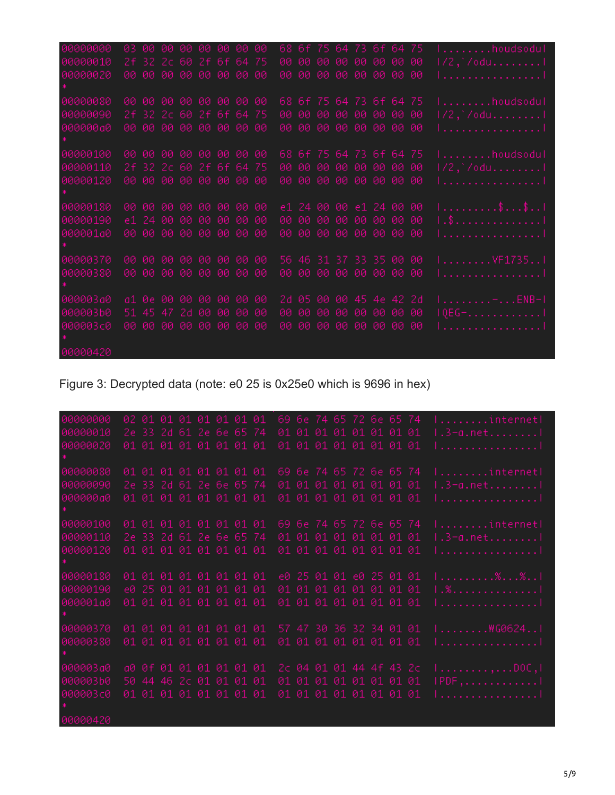| 00000000 |  | 03 00 00 00 00 00 00 00 |      |     |     |       |      |     | 68 6f 75 64 73 6f 64 75 |      |      |      | $  \ldots   \ldots   \ldots  $ houdsodul |
|----------|--|-------------------------|------|-----|-----|-------|------|-----|-------------------------|------|------|------|------------------------------------------|
| 00000010 |  | 2f 32 2c 60 2f 6f 64 75 |      |     | 00. | - ମମ  | -00. | 00  | -00                     | -00. | -00. | -00  | 1/2,`/odul                               |
| 00000020 |  | 00 00 00 00 00 00 00 00 |      |     |     |       |      |     | 00 00 00 00 00 00 00 00 |      |      |      | 1. 1                                     |
|          |  |                         |      |     |     |       |      |     |                         |      |      |      |                                          |
| 00000080 |  | 00 00 00 00 00 00 00 00 |      |     |     |       |      |     | 68 6f 75 64 73 6f 64 75 |      |      |      | $  \ldots   \ldots  $ . houdsodul        |
| 00000090 |  | 2f 32 2c 60 2f 6f 64 75 |      |     | 00. | -00-  |      |     | 000000000               |      | -00  | -00  | 1/2,`/odu1                               |
| 000000a0 |  | 00 00 00 00 00 00 00 00 |      |     | 00. | 00    |      |     | 00 00 00 00 00          |      |      | - 00 | 1. 1                                     |
|          |  |                         |      |     |     |       |      |     |                         |      |      |      |                                          |
| 00000100 |  | 00 00 00 00 00 00 00 00 |      |     |     |       |      |     | 68 6f 75 64 73 6f 64 75 |      |      |      | $1 \ldots \ldots \ldots$ houdsodul       |
| 00000110 |  | 2f 32 2c 60 2f 6f 64 75 |      |     |     |       |      |     | 00 00 00 00 00 00 00 00 |      |      |      | 1/2,`/odul                               |
|          |  |                         |      |     |     |       |      |     |                         |      |      |      |                                          |
| 00000120 |  | 00 00 00 00 00 00 00 00 |      |     |     |       |      |     | 00 00 00 00 00 00 00 00 |      |      |      | 1. 1                                     |
|          |  |                         |      |     |     |       |      |     |                         |      |      |      |                                          |
| 00000180 |  | 00 00 00 00 00 00 00 00 |      |     |     |       |      |     | e1 24 00 00 e1 24 00 00 |      |      |      | 1 \$ \$ 1                                |
| 00000190 |  | e1 24 00 00 00          | 0000 | -00 |     | 00 00 |      |     | 00 00 00 00 00          |      |      | -00  | 1 . \$ 1                                 |
| 000001a0 |  | 00 00 00 00 00 00 00 00 |      |     |     |       |      |     | 00 00 00 00 00 00 00 00 |      |      |      | <u>1. 1</u>                              |
|          |  |                         |      |     |     |       |      |     |                         |      |      |      |                                          |
| 00000370 |  | 00 00 00 00 00 00 00 00 |      |     |     |       |      |     | 56 46 31 37 33 35 00 00 |      |      |      | 1. VF1735. . 1                           |
| 00000380 |  | 00 00 00 00 00 00 00 00 |      |     |     |       |      |     | 00 00 00 00 00 00 00 00 |      |      |      | 1. 1                                     |
|          |  |                         |      |     |     |       |      |     |                         |      |      |      |                                          |
| 000003a0 |  | a1 0e 00 00 00 00 00 00 |      |     |     |       |      |     | 2d 05 00 00 45 4e 42 2d |      |      |      | 1. <del>.</del> ENB-1                    |
| 000003b0 |  | 51 45 47 2d 00          | 0000 | -00 | 00. | -00   | -00  | -00 | 00 00                   |      | -00. | -00  | 1QEG-. 1                                 |
| 000003c0 |  | 00 00 00 00 00 00 00 00 |      |     | 00. | -00   |      |     | 00 00 00 00 00 00       |      |      |      | 1 1                                      |
|          |  |                         |      |     |     |       |      |     |                         |      |      |      |                                          |
|          |  |                         |      |     |     |       |      |     |                         |      |      |      |                                          |
| 00000420 |  |                         |      |     |     |       |      |     |                         |      |      |      |                                          |

Figure 3: Decrypted data (note: e0 25 is 0x25e0 which is 9696 in hex)

| 00000000 |  | 02 01 01 01 01 01 01 01 |  |                         |  |  | 69 6e 74 65 72 6e 65 74 |  | Iinternetl                        |
|----------|--|-------------------------|--|-------------------------|--|--|-------------------------|--|-----------------------------------|
| 00000010 |  | 2e 33 2d 61 2e 6e 65 74 |  |                         |  |  | 01 01 01 01 01 01 01 01 |  | $1.3$ -a.net1                     |
| 00000020 |  | 01 01 01 01 01 01 01 01 |  |                         |  |  | 01 01 01 01 01 01 01 01 |  | <u>1 1</u>                        |
|          |  |                         |  |                         |  |  |                         |  |                                   |
| 00000080 |  | 01 01 01 01 01 01 01 01 |  |                         |  |  | 69 6e 74 65 72 6e 65 74 |  | $  \ldots   \ldots  $ . internet! |
| 00000090 |  | 2e 33 2d 61 2e 6e 65 74 |  |                         |  |  | 01 01 01 01 01 01 01 01 |  | $1.3$ -a.net1                     |
| 000000a0 |  | 01 01 01 01 01 01 01 01 |  |                         |  |  | 01 01 01 01 01 01 01 01 |  | 1. 1                              |
|          |  |                         |  |                         |  |  |                         |  |                                   |
| 00000100 |  | 01 01 01 01 01 01 01 01 |  |                         |  |  | 69 6e 74 65 72 6e 65 74 |  | Iinternetl                        |
| 00000110 |  | 2e 33 2d 61 2e 6e 65 74 |  |                         |  |  | 01 01 01 01 01 01 01 01 |  | 1.3-a.net1                        |
| 00000120 |  | 01 01 01 01 01 01 01 01 |  |                         |  |  | 01 01 01 01 01 01 01 01 |  | 1. 1                              |
|          |  |                         |  |                         |  |  |                         |  |                                   |
| 00000180 |  | 01 01 01 01 01 01 01 01 |  |                         |  |  | e0 25 01 01 e0 25 01 01 |  | 1. %. %. . 1                      |
| 00000190 |  | e0 25 01 01 01 01 01 01 |  |                         |  |  | 01 01 01 01 01 01 01 01 |  | 1.%. 1                            |
| 000001a0 |  | 01 01 01 01 01 01 01 01 |  |                         |  |  | 01 01 01 01 01 01 01 01 |  | 1. 1                              |
|          |  |                         |  |                         |  |  |                         |  |                                   |
| 00000370 |  |                         |  | 01 01 01 01 01 01 01 01 |  |  | 57 47 30 36 32 34 01 01 |  | I\\G0624I                         |
| 00000380 |  | 01 01 01 01 01 01 01 01 |  |                         |  |  | 01 01 01 01 01 01 01 01 |  | 1. 1                              |
|          |  |                         |  |                         |  |  |                         |  |                                   |
| 000003a0 |  | a0 0f 01 01 01 01 01 01 |  |                         |  |  | 2c 04 01 01 44 4f 43 2c |  | 1. , DOC , I                      |
| 000003b0 |  | 50 44 46 2c 01 01 01 01 |  |                         |  |  | 01 01 01 01 01 01 01 01 |  | $IPDF$ ,                          |
| 000003c0 |  | 01 01 01 01 01 01 01 01 |  |                         |  |  | 01 01 01 01 01 01 01 01 |  | 1. 1                              |
|          |  |                         |  |                         |  |  |                         |  |                                   |
| 00000420 |  |                         |  |                         |  |  |                         |  |                                   |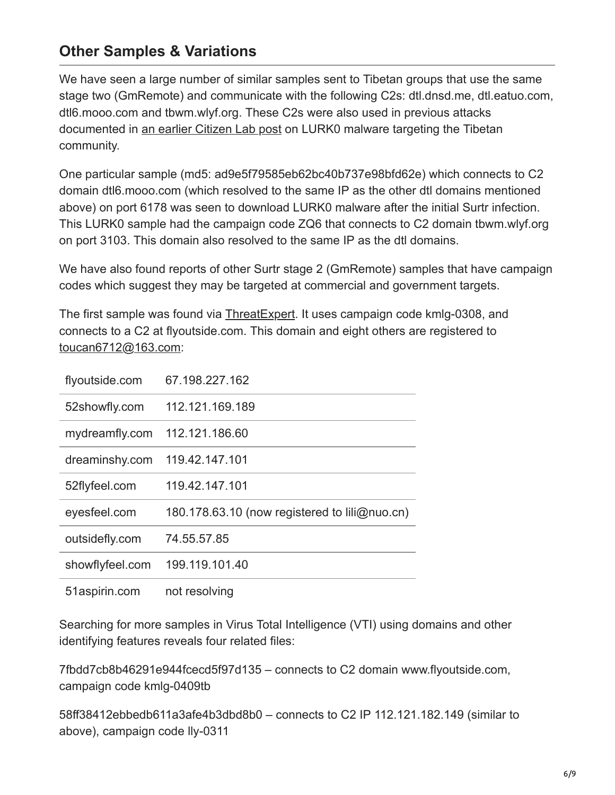#### **Other Samples & Variations**

We have seen a large number of similar samples sent to Tibetan groups that use the same stage two (GmRemote) and communicate with the following C2s: dtl.dnsd.me, dtl.eatuo.com, dtl6.mooo.com and tbwm.wlyf.org. These C2s were also used in previous attacks documented in [an earlier Citizen Lab post](https://citizenlab.ca/2012/07/recent-observations/) on LURK0 malware targeting the Tibetan community.

One particular sample (md5: ad9e5f79585eb62bc40b737e98bfd62e) which connects to C2 domain dtl6.mooo.com (which resolved to the same IP as the other dtl domains mentioned above) on port 6178 was seen to download LURK0 malware after the initial Surtr infection. This LURK0 sample had the campaign code ZQ6 that connects to C2 domain tbwm.wlyf.org on port 3103. This domain also resolved to the same IP as the dtl domains.

We have also found reports of other Surtr stage 2 (GmRemote) samples that have campaign codes which suggest they may be targeted at commercial and government targets.

The first sample was found via [ThreatExpert.](http://www.threatexpert.com/report.aspx?md5=6da1abd5d7ed21a3328d9fdfaf061f24) It uses campaign code kmlg-0308, and connects to a C2 at flyoutside.com. This domain and eight others are registered to [toucan6712@163.com:](http://10.10.0.46/mailto:toucan6712@163.com)

| flyoutside.com  | 67.198.227.162                                |
|-----------------|-----------------------------------------------|
| 52showfly.com   | 112.121.169.189                               |
| mydreamfly.com  | 112.121.186.60                                |
| dreaminshy.com  | 119.42.147.101                                |
| 52flyfeel.com   | 119.42.147.101                                |
| eyesfeel.com    | 180.178.63.10 (now registered to lili@nuo.cn) |
| outsidefly.com  | 74.55.57.85                                   |
| showflyfeel.com | 199.119.101.40                                |
| 51aspirin.com   | not resolving                                 |

Searching for more samples in Virus Total Intelligence (VTI) using domains and other identifying features reveals four related files:

7fbdd7cb8b46291e944fcecd5f97d135 – connects to C2 domain www.flyoutside.com, campaign code kmlg-0409tb

58ff38412ebbedb611a3afe4b3dbd8b0 – connects to C2 IP 112.121.182.149 (similar to above), campaign code lly-0311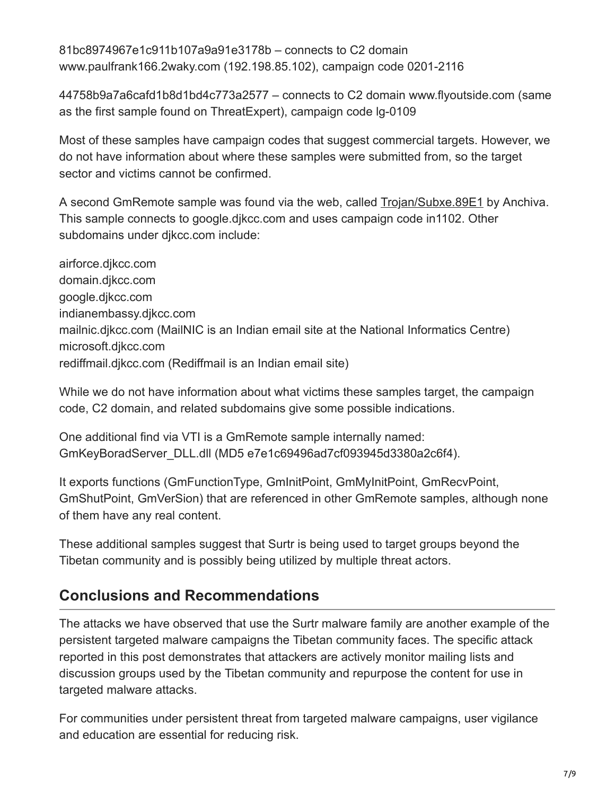81bc8974967e1c911b107a9a91e3178b – connects to C2 domain www.paulfrank166.2waky.com (192.198.85.102), campaign code 0201-2116

44758b9a7a6cafd1b8d1bd4c773a2577 – connects to C2 domain www.flyoutside.com (same as the first sample found on ThreatExpert), campaign code lg-0109

Most of these samples have campaign codes that suggest commercial targets. However, we do not have information about where these samples were submitted from, so the target sector and victims cannot be confirmed.

A second GmRemote sample was found via the web, called [Trojan/Subxe.89E1](http://lab.anchiva.com/n_view.asp?lang=en&vname=Trojan/Subxe.89E1) by Anchiva. This sample connects to google.djkcc.com and uses campaign code in1102. Other subdomains under djkcc.com include:

airforce.djkcc.com domain.djkcc.com google.djkcc.com indianembassy.djkcc.com mailnic.djkcc.com (MailNIC is an Indian email site at the National Informatics Centre) microsoft.djkcc.com rediffmail.djkcc.com (Rediffmail is an Indian email site)

While we do not have information about what victims these samples target, the campaign code, C2 domain, and related subdomains give some possible indications.

One additional find via VTI is a GmRemote sample internally named: GmKeyBoradServer\_DLL.dll (MD5 e7e1c69496ad7cf093945d3380a2c6f4).

It exports functions (GmFunctionType, GmInitPoint, GmMyInitPoint, GmRecvPoint, GmShutPoint, GmVerSion) that are referenced in other GmRemote samples, although none of them have any real content.

These additional samples suggest that Surtr is being used to target groups beyond the Tibetan community and is possibly being utilized by multiple threat actors.

# **Conclusions and Recommendations**

The attacks we have observed that use the Surtr malware family are another example of the persistent targeted malware campaigns the Tibetan community faces. The specific attack reported in this post demonstrates that attackers are actively monitor mailing lists and discussion groups used by the Tibetan community and repurpose the content for use in targeted malware attacks.

For communities under persistent threat from targeted malware campaigns, user vigilance and education are essential for reducing risk.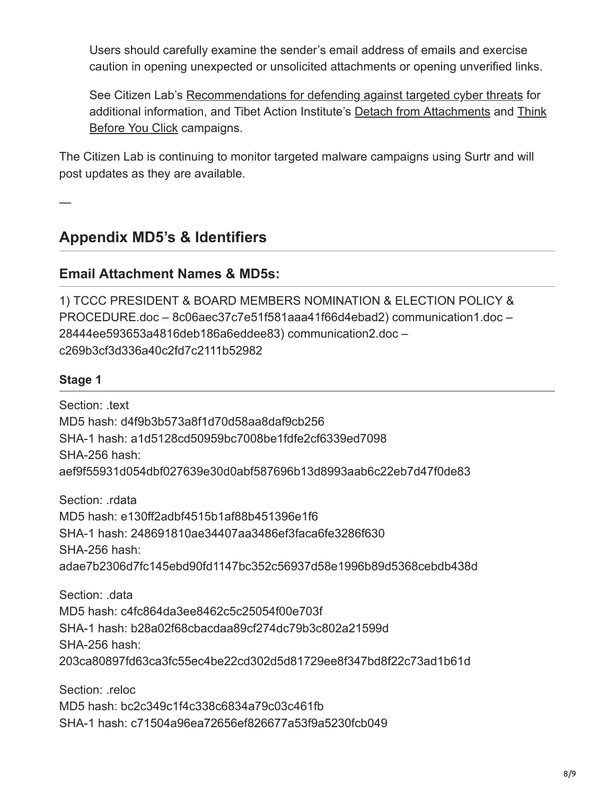Users should carefully examine the sender's email address of emails and exercise caution in opening unexpected or unsolicited attachments or opening unverified links.

See Citizen Lab's [Recommendations for defending against targeted cyber threats](https://citizenlab.ca/docs/recommendations.html) for [additional information, and Tibet Action Institute's](https://tibetaction.net/think-before-you-click/) [Detach from Attachment](https://tibetaction.net/detach-from-attachments/)[s and Think](https://tibetaction.net/think-before-you-click/) Before You Click campaigns.

The Citizen Lab is continuing to monitor targeted malware campaigns using Surtr and will post updates as they are available.

—

### **Appendix MD5's & Identifiers**

#### **Email Attachment Names & MD5s:**

1) TCCC PRESIDENT & BOARD MEMBERS NOMINATION & ELECTION POLICY & PROCEDURE.doc – 8c06aec37c7e51f581aaa41f66d4ebad2) communication1.doc – 28444ee593653a4816deb186a6eddee83) communication2.doc – c269b3cf3d336a40c2fd7c2111b52982

#### **Stage 1**

Section: text MD5 hash: d4f9b3b573a8f1d70d58aa8daf9cb256 SHA-1 hash: a1d5128cd50959bc7008be1fdfe2cf6339ed7098 SHA-256 hash: aef9f55931d054dbf027639e30d0abf587696b13d8993aab6c22eb7d47f0de83

Section: rdata MD5 hash: e130ff2adbf4515b1af88b451396e1f6 SHA-1 hash: 248691810ae34407aa3486ef3faca6fe3286f630 SHA-256 hash: adae7b2306d7fc145ebd90fd1147bc352c56937d58e1996b89d5368cebdb438d

Section: .data MD5 hash: c4fc864da3ee8462c5c25054f00e703f SHA-1 hash: b28a02f68cbacdaa89cf274dc79b3c802a21599d SHA-256 hash: 203ca80897fd63ca3fc55ec4be22cd302d5d81729ee8f347bd8f22c73ad1b61d

Section: .reloc MD5 hash: bc2c349c1f4c338c6834a79c03c461fb SHA-1 hash: c71504a96ea72656ef826677a53f9a5230fcb049